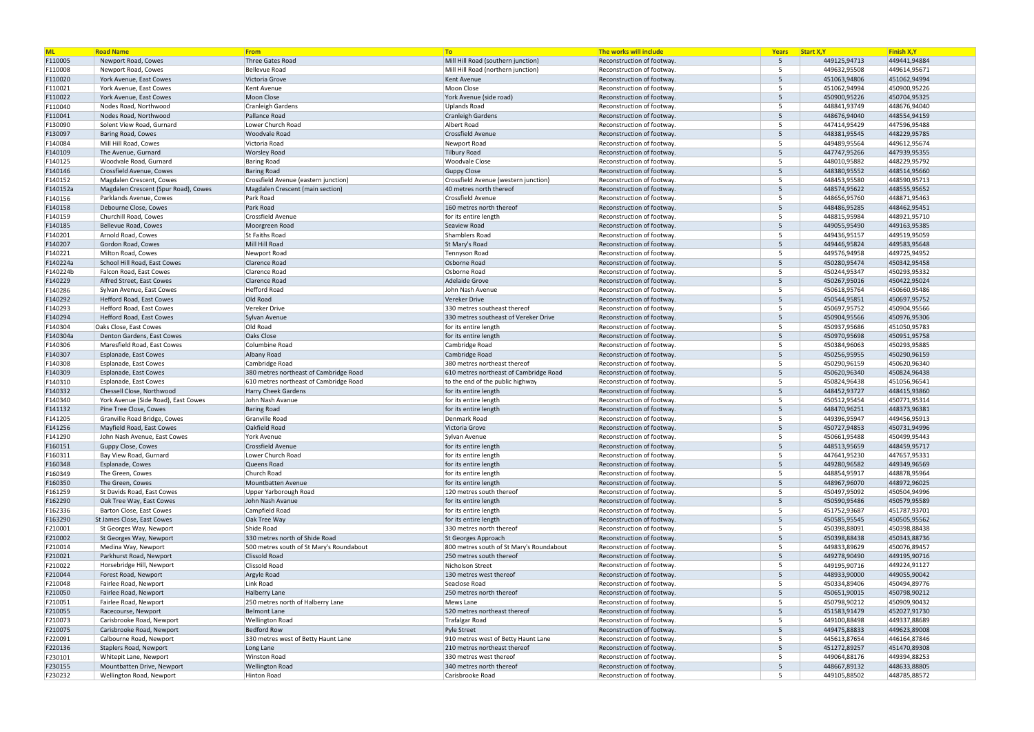| <b>ML</b>          | <b>Road Name</b>                                         | From                                             | To                                                 | The works will include                                   | Years           | Start X, Y   | Finish X, Y                  |
|--------------------|----------------------------------------------------------|--------------------------------------------------|----------------------------------------------------|----------------------------------------------------------|-----------------|--------------|------------------------------|
| F110005            | Newport Road, Cowes                                      | Three Gates Road                                 | Mill Hill Road (southern junction)                 | Reconstruction of footway.                               | 5               | 449125,94713 | 449441,94884                 |
| F110008            | Newport Road, Cowes                                      | Bellevue Road                                    | Mill Hill Road (northern junction)                 | Reconstruction of footway.                               | 5               | 449632,95508 | 449614,95671                 |
| F110020            | York Avenue, East Cowes                                  | Victoria Grove                                   | Kent Avenue                                        | Reconstruction of footway                                | $5^{\circ}$     | 451063,94806 | 451062,94994                 |
| F110021            | York Avenue, East Cowes                                  | Kent Avenue                                      | Moon Close                                         | Reconstruction of footway.                               | 5               | 451062,94994 | 450900,95226                 |
| F110022            | York Avenue, East Cowes                                  | Moon Close                                       | York Avenue (side road)                            | Reconstruction of footway.                               | $5^{\circ}$     | 450900,95226 | 450704,95325                 |
| F110040            | Nodes Road, Northwood                                    | Cranleigh Gardens                                | Uplands Road                                       | Reconstruction of footway.                               | 5               | 448841,93749 | 448676,94040                 |
| F110041            | Nodes Road, Northwood                                    | Pallance Road                                    | Cranleigh Gardens                                  | Reconstruction of footway.                               | $5^{\circ}$     | 448676,94040 | 448554,94159                 |
| F130090            | Solent View Road, Gurnard                                | Lower Church Road                                | Albert Road                                        | Reconstruction of footway.                               | 5               | 447414,95429 | 447596,95488                 |
| F130097            | Baring Road, Cowes                                       | Woodvale Road                                    | Crossfield Avenue                                  | Reconstruction of footway.                               | $5^{\circ}$     | 448381,95545 | 448229,95785                 |
| F140084            | Mill Hill Road, Cowes                                    | Victoria Road                                    | Newport Road                                       | Reconstruction of footway.                               | -5              | 449489,95564 | 449612,95674                 |
| F140109            | The Avenue, Gurnard                                      | <b>Worsley Road</b>                              | Tilbury Road                                       | Reconstruction of footway                                | $5^{\circ}$     | 447747,95266 | 447939,95355                 |
| F140125            | Woodvale Road, Gurnard                                   | <b>Baring Road</b>                               | <b>Woodvale Close</b>                              | Reconstruction of footway.                               | 5               | 448010,95882 | 448229,95792                 |
| F140146            | Crossfield Avenue, Cowes                                 | <b>Baring Road</b>                               | Guppy Close                                        | Reconstruction of footway.                               | $5^{\circ}$     | 448380,95552 | 448514,95660                 |
| F140152            | Magdalen Crescent, Cowes                                 | Crossfield Avenue (eastern junction)             | Crossfield Avenue (western junction)               | Reconstruction of footway.                               | -5              | 448453,95580 | 448590,95713                 |
| F140152a           | Magdalen Crescent (Spur Road), Cowes                     | Magdalen Crescent (main section)                 | 40 metres north thereof                            | Reconstruction of footway.                               | 5 <sup>5</sup>  | 448574,95622 | 448555,95652                 |
| F140156            | Parklands Avenue, Cowes                                  | Park Road                                        | Crossfield Avenue                                  | Reconstruction of footway.                               | 5               | 448656,95760 | 448871,95463                 |
| F140158            | Debourne Close, Cowes                                    | Park Road                                        | 160 metres north thereof                           | Reconstruction of footway.                               | $5^{\circ}$     | 448486,95285 | 448462,95451                 |
| F140159            | Churchill Road, Cowes                                    | Crossfield Avenue                                | for its entire length                              | Reconstruction of footway.                               | 5               | 448815,95984 | 448921,95710                 |
| F140185            | Bellevue Road, Cowes                                     | Moorgreen Road                                   | Seaview Road                                       | Reconstruction of footway.                               | $5\overline{)}$ | 449055,95490 | 449163,95385                 |
| F140201            | Arnold Road, Cowes                                       | St Faiths Road                                   | Shamblers Road                                     | Reconstruction of footway.                               | $5^{\circ}$     | 449436,95157 | 449519,95059                 |
| F140207            | Gordon Road, Cowes                                       | Mill Hill Road                                   | St Mary's Road                                     | Reconstruction of footway.                               | $5^{\circ}$     | 449446,95824 | 449583,95648                 |
| F140221            | Milton Road, Cowes                                       | Newport Road                                     | Tennyson Road                                      | Reconstruction of footway.                               | 5               | 449576,94958 | 449725,94952                 |
| F140224a           | School Hill Road, East Cowes                             | <b>Clarence Road</b>                             | Osborne Road                                       | Reconstruction of footway.                               | 5 <sup>5</sup>  | 450280,95474 | 450342,95458                 |
| F140224b           | Falcon Road, East Cowes                                  | Clarence Road                                    | Osborne Road                                       | Reconstruction of footway.                               | $5^{\circ}$     | 450244,95347 | 450293,95332                 |
| F140229            | Alfred Street, East Cowes                                | <b>Clarence Road</b>                             | Adelaide Grove                                     | Reconstruction of footway.                               | $5^{\circ}$     | 450267,95016 | 450422,95024                 |
| F140286            | Sylvan Avenue, East Cowes                                | Hefford Road                                     | John Nash Avenue                                   | Reconstruction of footway.                               | 5               | 450618,95764 | 450660,95486                 |
| F140292            | Hefford Road, East Cowes                                 | Old Road                                         | Vereker Drive                                      | Reconstruction of footway.                               | $5\overline{)}$ | 450544,95851 | 450697,95752                 |
| F140293            | Hefford Road, East Cowes                                 | Vereker Drive                                    | 330 metres southeast thereof                       | Reconstruction of footway.                               | -5              | 450697,95752 | 450904,95566                 |
| F140294            | Hefford Road, East Cowes                                 | Sylvan Avenue                                    | 330 metres southeast of Vereker Drive              | Reconstruction of footway.                               | $5^{\circ}$     | 450904,95566 | 450976,95306                 |
| F140304            | Oaks Close, East Cowes                                   | Old Road                                         | for its entire length                              | Reconstruction of footway.                               | -5              | 450937,95686 | 451050,95783                 |
| F140304a           | Denton Gardens, East Cowes                               | <b>Oaks Close</b>                                | for its entire length                              | Reconstruction of footway.                               | $5^{\circ}$     | 450970,95698 | 450951,95758                 |
| F140306            | Maresfield Road, East Cowes                              | Columbine Road                                   | Cambridge Road                                     | Reconstruction of footway.                               | 5               | 450384,96063 | 450293,95885                 |
| F140307            | Esplanade, East Cowes                                    | Albany Road                                      | Cambridge Road                                     | Reconstruction of footway.                               | $5^{\circ}$     | 450256,95955 | 450290,96159                 |
| F140308            | Esplanade, East Cowes                                    | Cambridge Road                                   | 380 metres northeast thereof                       | Reconstruction of footway.                               | 5               | 450290,96159 | 450620,96340                 |
| F140309            | Esplanade, East Cowes                                    | 380 metres northeast of Cambridge Road           | 610 metres northeast of Cambridge Road             | Reconstruction of footway.                               | 5 <sup>5</sup>  | 450620,96340 | 450824,96438                 |
| F140310            | Esplanade, East Cowes                                    | 610 metres northeast of Cambridge Road           | to the end of the public highway                   | Reconstruction of footway.                               | 5               | 450824,96438 | 451056,96541                 |
| F140332            | Chessell Close, Northwood                                | <b>Harry Cheek Gardens</b>                       | for its entire length                              | Reconstruction of footway.                               | $5^{\circ}$     | 448452,93727 | 448415,93860                 |
| F140340            | York Avenue (Side Road), East Cowes                      | John Nash Avanue                                 | for its entire length                              | Reconstruction of footway.                               | $5^{\circ}$     | 450512,95454 | 450771,95314                 |
| F141132            | Pine Tree Close, Cowes                                   | <b>Baring Road</b>                               | for its entire length                              | Reconstruction of footway                                | $5^{\circ}$     | 448470,96251 | 448373,96381                 |
| F141205            | Granville Road Bridge, Cowes                             | Granville Road                                   | Denmark Road                                       | Reconstruction of footway.                               | 5               | 449396,95947 | 449456,95913                 |
| F141256            | Mayfield Road, East Cowes                                | Oakfield Road                                    | Victoria Grove                                     | Reconstruction of footway.                               | 5 <sup>5</sup>  | 450727,94853 | 450731,94996                 |
| F141290            | John Nash Avenue, East Cowes                             | York Avenue                                      | Sylvan Avenue                                      | Reconstruction of footway.                               |                 | 450661,95488 | 450499,95443                 |
| F160151            | Guppy Close, Cowes                                       | Crossfield Avenue                                | for its entire length                              | Reconstruction of footway.                               | $5\overline{)}$ | 448513,95659 | 448459,95717                 |
| F160311            | Bay View Road, Gurnard                                   | Lower Church Road                                | for its entire length                              | Reconstruction of footway.                               | 5               | 447641,95230 | 447657,95331                 |
| F160348            | Esplanade, Cowes                                         | Queens Road                                      | for its entire length                              | Reconstruction of footway.                               | $5^{\circ}$     | 449280,96582 | 449349,96569                 |
| F160349            | The Green, Cowes                                         | Church Road                                      | for its entire length                              | Reconstruction of footway.                               | 5               | 448854,95917 | 448878,95964                 |
| F160350            | The Green, Cowes                                         | Mountbatten Avenue                               | for its entire length                              | Reconstruction of footway.                               | 5               | 448967,96070 | 448972,96025                 |
| F161259            | St Davids Road, East Cowes                               | Upper Yarborough Road                            | 120 metres south thereof                           | Reconstruction of footway.                               | 5               | 450497,95092 | 450504,94996                 |
| F162290            | Oak Tree Way, East Cowes                                 | John Nash Avanue                                 | for its entire length                              | Reconstruction of footway.                               | $5^{\circ}$     | 450590,95486 | 450579,95589                 |
| F162336            | Barton Close, East Cowes                                 | Campfield Road                                   | for its entire length                              | Reconstruction of footway.                               | 5               | 451752,93687 | 451787,93701                 |
| F163290            | St James Close, East Cowes                               | Oak Tree Way                                     | for its entire length                              | Reconstruction of footway.                               | 5 <sup>5</sup>  | 450585,95545 | 450505,95562                 |
| F210001            | St Georges Way, Newport                                  | Shide Road                                       | 330 metres north thereof                           | Reconstruction of footway.                               | 5               | 450398,88091 | 450398,88438                 |
| F210002            | St Georges Way, Newport                                  | 330 metres north of Shide Road                   | St Georges Approach                                | Reconstruction of footway.                               | 5               | 450398,88438 | 450343,88736                 |
| F210014            | Medina Way, Newport                                      | 500 metres south of St Mary's Roundabout         | 800 metres south of St Mary's Roundabout           | Reconstruction of footway.                               | 5               | 449833,89629 | 450076,89457                 |
| F210021            | Parkhurst Road, Newport                                  | Clissold Road                                    | 250 metres south thereof                           | Reconstruction of footway.                               | 5               | 449278,90490 | 449195,90716                 |
| F210022            | Horsebridge Hill, Newport                                | Clissold Road                                    | Nicholson Street                                   | Reconstruction of footway.                               | 5               | 449195,90716 | 449224,91127                 |
| F210044            | Forest Road, Newport                                     | Argyle Road                                      | 130 metres west thereof                            | Reconstruction of footway.                               | 5               | 448933,90000 | 449055,90042                 |
| F210048            | Fairlee Road, Newport                                    | Link Road                                        | Seaclose Road                                      | Reconstruction of footway.                               | 5               | 450334,89406 | 450494,89776                 |
| F210050            | Fairlee Road, Newport                                    | <b>Halberry Lane</b>                             | 250 metres north thereof                           | Reconstruction of footway.                               | 5               | 450651,90015 | 450798,90212                 |
| F210051            | Fairlee Road, Newport                                    | 250 metres north of Halberry Lane                | Mews Lane                                          | Reconstruction of footway.                               | 5               | 450798,90212 | 450909,90432                 |
| F210055            |                                                          | <b>Belmont Lane</b>                              | 520 metres northeast thereof                       | Reconstruction of footway.                               | $5\overline{)}$ | 451583,91479 | 452027,91730                 |
| F210073            | Racecourse, Newport<br>Carisbrooke Road, Newport         | <b>Wellington Road</b>                           | Trafalgar Road                                     | Reconstruction of footway.                               | 5               | 449100,88498 | 449337,88689                 |
|                    |                                                          |                                                  |                                                    |                                                          | 5 <sup>5</sup>  |              |                              |
| F210075            | Carisbrooke Road, Newport                                | <b>Bedford Row</b>                               | Pyle Street<br>910 metres west of Betty Haunt Lane | Reconstruction of footway.<br>Reconstruction of footway. | 5               | 449475,88833 | 449623,89008<br>446164,87846 |
| F220091<br>F220136 | Calbourne Road, Newport<br><b>Staplers Road, Newport</b> | 330 metres west of Betty Haunt Lane<br>Long Lane | 210 metres northeast thereof                       | Reconstruction of footway.                               | $5\overline{)}$ | 445613,87654 | 451470,89308                 |
|                    |                                                          | <b>Winston Road</b>                              | 330 metres west thereof                            | Reconstruction of footway.                               | 5               | 451272,89257 | 449394,88253                 |
| F230101            | Whitepit Lane, Newport                                   |                                                  |                                                    |                                                          |                 | 449064,88176 |                              |
| F230155            | Mountbatten Drive, Newport                               | <b>Wellington Road</b>                           | 340 metres north thereof                           | Reconstruction of footway.                               | 5 <sup>5</sup>  | 448667,89132 | 448633,88805                 |
| F230232            | Wellington Road, Newport                                 | Hinton Road                                      | Carisbrooke Road                                   | Reconstruction of footway.                               | 5               | 449105,88502 | 448785,88572                 |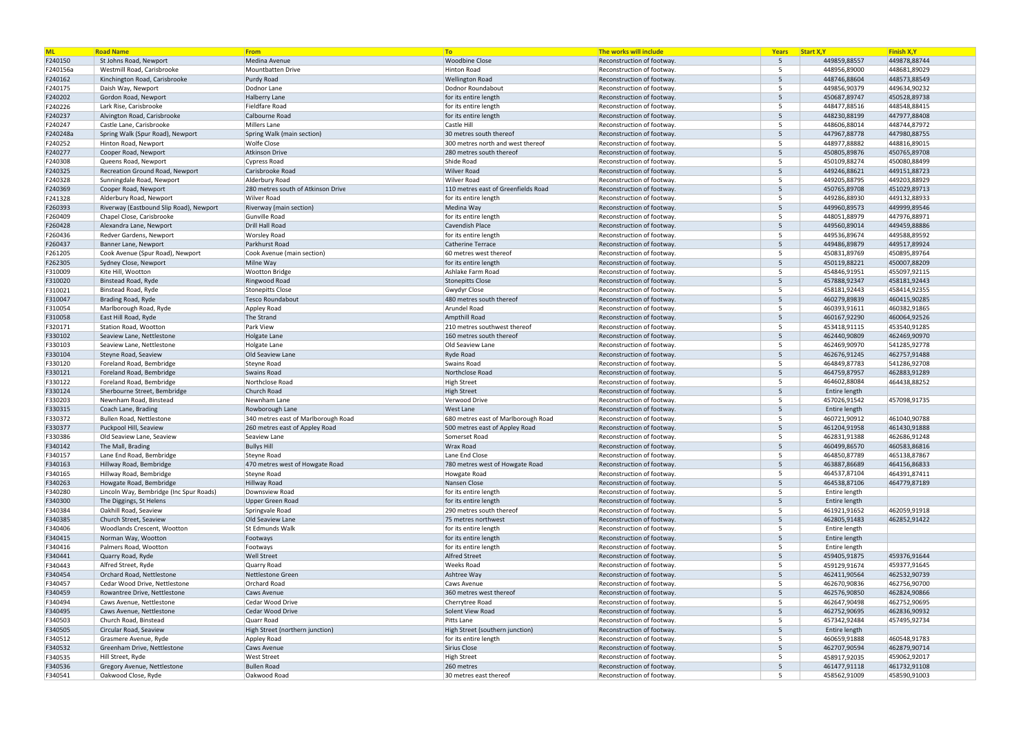| <b>ML</b>          | <b>Road Name</b>                               | From                                 | <b>To</b>                                | The works will include                                 | Years             | Start X, Y                   | Finish X, Y                  |
|--------------------|------------------------------------------------|--------------------------------------|------------------------------------------|--------------------------------------------------------|-------------------|------------------------------|------------------------------|
| F240150            | St Johns Road, Newport                         | Medina Avenue                        | <b>Woodbine Close</b>                    | Reconstruction of footway                              | - 5               | 449859,88557                 | 449878,88744                 |
| F240156a           | Westmill Road, Carisbrooke                     | Mountbatten Drive                    | Hinton Road                              | Reconstruction of footway                              | 5                 | 448956,89000                 | 448681,89029                 |
| F240162            | Kinchington Road, Carisbrooke                  | Purdy Road                           | <b>Wellington Road</b>                   | Reconstruction of footway                              | $5^{\circ}$       | 448746,88604                 | 448573,88549                 |
| F240175            | Daish Way, Newport                             | Dodnor Lane                          | Dodnor Roundabout                        | Reconstruction of footway                              | -5                | 449856,90379                 | 449634,90232                 |
| F240202            | Gordon Road, Newport                           | <b>Halberry Lane</b>                 | for its entire length                    | Reconstruction of footway                              | $5^{\circ}$       | 450687,89747                 | 450528,89738                 |
| F240226            | Lark Rise, Carisbrooke                         | Fieldfare Road                       | for its entire length                    | Reconstruction of footway                              | -5                | 448477,88516                 | 448548,88415                 |
| F240237            | Alvington Road, Carisbrooke                    | Calbourne Road                       | for its entire length                    | Reconstruction of footway                              | $5^{\circ}$       | 448230,88199                 | 447977,88408                 |
| F240247            | Castle Lane, Carisbrooke                       | Millers Lane                         | Castle Hill                              | Reconstruction of footway                              | $5^{\circ}$       | 448606,88014                 | 448744,87972                 |
| F240248a           | Spring Walk (Spur Road), Newport               | Spring Walk (main section)           | 30 metres south thereof                  | Reconstruction of footway                              | $5^{\circ}$       | 447967,88778                 | 447980,88755                 |
| F240252            | Hinton Road, Newport                           | <b>Wolfe Close</b>                   | 300 metres north and west thereof        | Reconstruction of footway                              | 5                 | 448977,88882                 | 448816,89015                 |
| F240277            | Cooper Road, Newport                           | Atkinson Drive                       | 280 metres south thereof                 | Reconstruction of footway                              | $5^{\circ}$       | 450805,89876                 | 450765,89708                 |
| F240308            | Queens Road, Newport                           | Cypress Road                         | Shide Road                               | Reconstruction of footway                              | -5                | 450109,88274                 | 450080,88499                 |
| F240325            | Recreation Ground Road, Newport                | Carisbrooke Road                     | <b>Wilver Road</b>                       | Reconstruction of footway.                             | $5^{\circ}$       | 449246,88621                 | 449151,88723                 |
| F240328            | Sunningdale Road, Newport                      | Alderbury Road                       | Wilver Road                              | Reconstruction of footway                              | -5                | 449205,88795                 | 449203,88929                 |
| F240369            | Cooper Road, Newport                           | 280 metres south of Atkinson Drive   | 110 metres east of Greenfields Road      | Reconstruction of footway                              | $5^{\circ}$       | 450765,89708                 | 451029,89713                 |
| F241328            | Alderbury Road, Newport                        | Wilver Road                          | for its entire length                    | Reconstruction of footway                              | $5\overline{5}$   | 449286,88930                 | 449132,88933                 |
| F260393            | Riverway (Eastbound Slip Road), Newport        | Riverway (main section)              | Medina Way                               | Reconstruction of footway.                             | $5^{\circ}$       | 449960,89573                 | 449999,89546                 |
| F260409            | Chapel Close, Carisbrooke                      | Gunville Road                        | for its entire length                    | Reconstruction of footway                              | 5                 | 448051,88979                 | 447976,88971                 |
| F260428            | Alexandra Lane, Newport                        | Drill Hall Road                      | <b>Cavendish Place</b>                   | Reconstruction of footway                              | $5^{\circ}$       | 449560,89014                 | 449459,88886                 |
| F260436            | Redver Gardens, Newport                        | <b>Worsley Road</b>                  | for its entire length                    | Reconstruction of footway                              | -5                | 449536,89674                 | 449588,89592                 |
| F260437            | Banner Lane, Newport                           | Parkhurst Road                       | Catherine Terrace                        | Reconstruction of footway.                             | $5^{\circ}$       | 449486,89879                 | 449517,89924                 |
| F261205            | Cook Avenue (Spur Road), Newport               | Cook Avenue (main section)           | 60 metres west thereof                   | Reconstruction of footway                              | 5<br>$5^{\circ}$  | 450831,89769                 | 450895,89764                 |
| F262305            | Sydney Close, Newport                          | Milne Way                            | for its entire length                    | Reconstruction of footway                              |                   | 450119,88221                 | 450007,88209                 |
| F310009            | Kite Hill, Wootton                             | <b>Wootton Bridge</b>                | Ashlake Farm Road                        | Reconstruction of footway                              | -5<br>$5^{\circ}$ | 454846,91951                 | 455097,92115                 |
| F310020            | Binstead Road, Ryde                            | Ringwood Road                        | <b>Stonepitts Close</b>                  | Reconstruction of footway<br>Reconstruction of footway | -5                | 457888,92347                 | 458181,92443                 |
| F310021<br>F310047 | Binstead Road, Ryde<br>Brading Road, Ryde      | Stonepitts Close<br>Tesco Roundabout | Gwydyr Close<br>480 metres south thereof | Reconstruction of footway                              | $5^{\circ}$       | 458181,92443<br>460279,89839 | 458414,92355<br>460415,90285 |
|                    |                                                | Appley Road                          | Arundel Road                             | Reconstruction of footway.                             | $5^{\circ}$       | 460393,91611                 | 460382,91865                 |
| F310054<br>F310058 | Marlborough Road, Ryde<br>East Hill Road, Ryde | The Strand                           | Ampthill Road                            | Reconstruction of footway                              | $5^{\circ}$       | 460167,92290                 | 460064,92526                 |
| F320171            | Station Road, Wootton                          | Park View                            | 210 metres southwest thereof             | Reconstruction of footway                              | -5                | 453418,91115                 | 453540,91285                 |
| F330102            | Seaview Lane, Nettlestone                      | Holgate Lane                         | 160 metres south thereof                 | Reconstruction of footway                              | $5^{\circ}$       | 462440,90809                 | 462469,90970                 |
| F330103            | Seaview Lane, Nettlestone                      | Holgate Lane                         | Old Seaview Lane                         | Reconstruction of footway                              | $5\overline{5}$   | 462469,90970                 | 541285,92778                 |
| F330104            | Steyne Road, Seaview                           | Old Seaview Lane                     | <b>Ryde Road</b>                         | Reconstruction of footway                              | $5^{\circ}$       | 462676,91245                 | 462757,91488                 |
| F330120            | Foreland Road, Bembridge                       | Steyne Road                          | Swains Road                              | Reconstruction of footway.                             | -5                | 464849,87783                 | 541286,92708                 |
| F330121            | Foreland Road, Bembridge                       | Swains Road                          | Northclose Road                          | Reconstruction of footway                              | 5 <sup>5</sup>    | 464759,87957                 | 462883,91289                 |
| F330122            | Foreland Road, Bembridge                       | Northclose Road                      | High Street                              | Reconstruction of footway                              | 5                 | 464602,88084                 | 464438,88252                 |
| F330124            | Sherbourne Street, Bembridge                   | Church Road                          | <b>High Street</b>                       | Reconstruction of footway.                             | $5^{\circ}$       | Entire length                |                              |
| F330203            | Newnham Road, Binstead                         | Newnham Lane                         | Verwood Drive                            | Reconstruction of footway.                             | -5                | 457026,91542                 | 457098,91735                 |
| F330315            | Coach Lane, Brading                            | Rowborough Lane                      | <b>West Lane</b>                         | Reconstruction of footway                              | $5^{\circ}$       | Entire length                |                              |
| F330372            | <b>Bullen Road, Nettlestone</b>                | 340 metres east of Marlborough Road  | 680 metres east of Marlborough Road      | Reconstruction of footway                              | -5                | 460721,90912                 | 461040,90788                 |
| F330377            | Puckpool Hill, Seaview                         | 260 metres east of Appley Road       | 500 metres east of Appley Road           | Reconstruction of footway                              | $5^{\circ}$       | 461204,91958                 | 461430,91888                 |
| F330386            | Old Seaview Lane, Seaview                      | Seaview Lane                         | Somerset Road                            | Reconstruction of footway.                             | -5                | 462831,91388                 | 462686,91248                 |
| F340142            | The Mall, Brading                              | <b>Bullys Hill</b>                   | Wrax Road                                | Reconstruction of footway.                             | 5 <sup>5</sup>    | 460499,86570                 | 460583,86816                 |
| F340157            | Lane End Road, Bembridge                       | Steyne Road                          | Lane End Close                           | Reconstruction of footway.                             | 5                 | 464850,87789                 | 465138,87867                 |
| F340163            | Hillway Road, Bembridge                        | 470 metres west of Howgate Road      | 780 metres west of Howgate Road          | Reconstruction of footway.                             | 5 <sup>5</sup>    | 463887,86689                 | 464156,86833                 |
| F340165            | Hillway Road, Bembridge                        | Steyne Road                          | Howgate Road                             | Reconstruction of footway.                             | 5                 | 464537,87104                 | 464391,87411                 |
| F340263            | Howgate Road, Bembridge                        | Hillway Road                         | Nansen Close                             | Reconstruction of footway.                             | 5 <sup>5</sup>    | 464538,87106                 | 464779,87189                 |
| F340280            | Lincoln Way, Bembridge (Inc Spur Roads)        | Downsview Road                       | for its entire length                    | Reconstruction of footway.                             | 5                 | Entire length                |                              |
| F340300            | The Diggings, St Helens                        | Upper Green Road                     | for its entire length                    | Reconstruction of footway.                             | 5 <sup>5</sup>    | Entire length                |                              |
| F340384            | Oakhill Road, Seaview                          | Springvale Road                      | 290 metres south thereof                 | Reconstruction of footway.                             | 5                 | 461921,91652                 | 462059,91918                 |
| F340385            | Church Street, Seaview                         | Old Seaview Lane                     | 75 metres northwest                      | Reconstruction of footway.                             | 5 <sup>5</sup>    | 462805,91483                 | 462852,91422                 |
| F340406            | Woodlands Crescent, Wootton                    | St Edmunds Walk                      | for its entire length                    | Reconstruction of footway.                             | 5                 | Entire length                |                              |
| F340415            | Norman Way, Wootton                            | Footways                             | for its entire length                    | Reconstruction of footway.                             | 5 <sup>5</sup>    | Entire length                |                              |
| F340416            | Palmers Road, Wootton                          | Footways                             | for its entire length                    | Reconstruction of footway.                             | 5                 | Entire length                |                              |
| F340441            | Quarry Road, Ryde                              | <b>Well Street</b>                   | <b>Alfred Street</b>                     | Reconstruction of footway.                             | 5 <sup>5</sup>    | 459405,91875                 | 459376,91644                 |
| F340443            | Alfred Street, Ryde                            | Quarry Road                          | <b>Weeks Road</b>                        | Reconstruction of footway.                             | 5                 | 459129,91674                 | 459377,91645                 |
| F340454            | Orchard Road, Nettlestone                      | Nettlestone Green                    | Ashtree Way                              | Reconstruction of footway.                             | $5\overline{)}$   | 462411,90564                 | 462532,90739                 |
| F340457            | Cedar Wood Drive, Nettlestone                  | Orchard Road                         | Caws Avenue                              | Reconstruction of footway.                             | 5                 | 462670,90836                 | 462756,90700                 |
| F340459            | Rowantree Drive, Nettlestone                   | Caws Avenue                          | 360 metres west thereof                  | Reconstruction of footway.                             | 5 <sup>5</sup>    | 462576,90850                 | 462824,90866                 |
| F340494            | Caws Avenue, Nettlestone                       | Cedar Wood Drive                     | Cherrytree Road                          | Reconstruction of footway.                             | 5                 | 462647,90498                 | 462752,90695                 |
| F340495            | Caws Avenue, Nettlestone                       | Cedar Wood Drive                     | Solent View Road                         | Reconstruction of footway.                             | 5 <sup>5</sup>    | 462752,90695                 | 462836,90932                 |
| F340503            | Church Road, Binstead                          | Quarr Road                           | Pitts Lane                               | Reconstruction of footway.                             | 5                 | 457342,92484                 | 457495,92734                 |
| F340505            | Circular Road, Seaview                         | High Street (northern junction)      | High Street (southern junction)          | Reconstruction of footway.                             | 5 <sup>5</sup>    | Entire length                |                              |
| F340512            | Grasmere Avenue, Ryde                          | Appley Road                          | for its entire length                    | Reconstruction of footway.                             | 5                 | 460659,91888                 | 460548,91783                 |
| F340532            | Greenham Drive, Nettlestone                    | <b>Caws Avenue</b>                   | Sirius Close                             | Reconstruction of footway.                             | 5 <sup>5</sup>    | 462707,90594                 | 462879,90714                 |
| F340535            | Hill Street, Ryde                              | <b>West Street</b>                   | High Street                              | Reconstruction of footway.                             | 5                 | 458917,92035                 | 459062,92017                 |
| F340536            | Gregory Avenue, Nettlestone                    | <b>Bullen Road</b>                   | 260 metres                               | Reconstruction of footway.                             | 5 <sup>5</sup>    | 461477,91118                 | 461732,91108                 |
| F340541            | Oakwood Close, Ryde                            | Oakwood Road                         | 30 metres east thereof                   | Reconstruction of footway.                             | 5                 | 458562,91009                 | 458590,91003                 |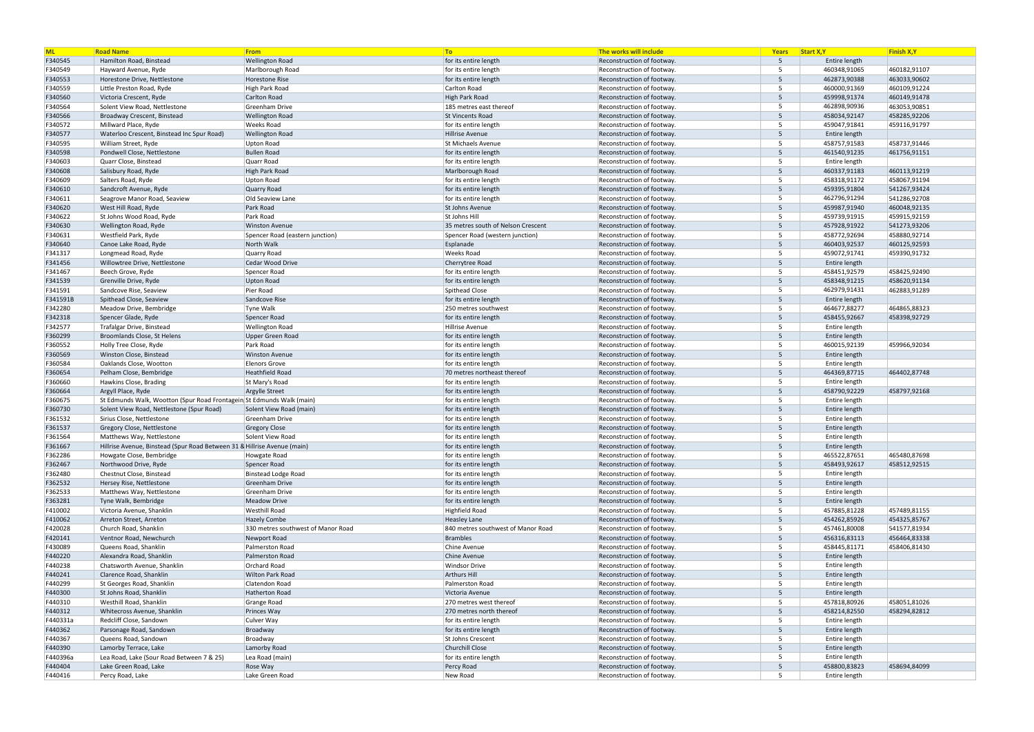| <b>ML</b>          | <b>Road Name</b>                                                         | From                                           | To                                                   | The works will include                                  | Years            | Start X, Y                    | <b>Finish X,Y</b> |
|--------------------|--------------------------------------------------------------------------|------------------------------------------------|------------------------------------------------------|---------------------------------------------------------|------------------|-------------------------------|-------------------|
| F340545            | Hamilton Road, Binstead                                                  | <b>Wellington Road</b>                         | for its entire length                                | Reconstruction of footway                               | -5               | Entire length                 |                   |
| F340549            | Hayward Avenue, Ryde                                                     | Marlborough Road                               | for its entire length                                | Reconstruction of footway                               | -5               | 460348,91065                  | 460182,91107      |
| F340553            | Horestone Drive, Nettlestone                                             | Horestone Rise                                 | for its entire length                                | Reconstruction of footway.                              | 5                | 462873,90388                  | 463033,90602      |
| F340559            | Little Preston Road, Ryde                                                | High Park Road                                 | Carlton Road                                         | Reconstruction of footway.                              | 5                | 460000,91369                  | 460109,91224      |
| F340560            | Victoria Crescent, Ryde                                                  | Carlton Road                                   | High Park Road                                       | Reconstruction of footway.                              | 5                | 459998,91374                  | 460149,91478      |
| F340564            | Solent View Road, Nettlestone                                            | Greenham Drive                                 | 185 metres east thereof                              | Reconstruction of footway.                              | 5                | 462898,90936                  | 463053,90851      |
| F340566            | Broadway Crescent, Binstead                                              | <b>Wellington Road</b>                         | <b>St Vincents Road</b>                              | Reconstruction of footway                               | 5                | 458034,92147                  | 458285,92206      |
| F340572            | Millward Place, Ryde                                                     | <b>Weeks Road</b>                              | for its entire length                                | Reconstruction of footway.                              | -5               | 459047,91841                  | 459116,91797      |
| F340577            | Waterloo Crescent, Binstead Inc Spur Road)                               | <b>Wellington Road</b>                         | Hillrise Avenue                                      | Reconstruction of footway                               | 5                | Entire length                 |                   |
| F340595            | William Street, Ryde                                                     | Upton Road                                     | St Michaels Avenue                                   | Reconstruction of footway.                              | 5                | 458757,91583                  | 458737,91446      |
| F340598            | Pondwell Close, Nettlestone                                              | <b>Bullen Road</b>                             | for its entire length                                | Reconstruction of footway                               | 5                | 461540,91235                  | 461756,91151      |
| F340603            | Quarr Close, Binstead                                                    | Quarr Road                                     | for its entire length                                | Reconstruction of footway.                              | 5                | Entire length                 |                   |
| F340608            | Salisbury Road, Ryde                                                     | <b>High Park Road</b>                          | Marlborough Road                                     | Reconstruction of footway                               | 5                | 460337,91183                  | 460113,91219      |
| F340609            | Salters Road, Ryde                                                       | <b>Upton Road</b>                              | for its entire length                                | Reconstruction of footway.                              | 5                | 458318,91172                  | 458067,91194      |
| F340610            | Sandcroft Avenue, Ryde                                                   | Quarry Road                                    | for its entire length                                | Reconstruction of footway                               | 5                | 459395,91804                  | 541267,93424      |
| F340611            | Seagrove Manor Road, Seaview                                             | Old Seaview Lane                               | for its entire length                                | Reconstruction of footway.                              | 5                | 462796,91294                  | 541286,92708      |
| F340620            | West Hill Road, Ryde                                                     | Park Road                                      | St Johns Avenue                                      | Reconstruction of footway                               | 5                | 459987,91940                  | 460048,92135      |
| F340622            | St Johns Wood Road, Ryde                                                 | Park Road                                      | St Johns Hill                                        | Reconstruction of footway.                              | 5                | 459739,91915                  | 459915,92159      |
| F340630            | Wellington Road, Ryde                                                    | <b>Winston Avenue</b>                          | 35 metres south of Nelson Crescent                   | Reconstruction of footway                               | 5                | 457928,91922                  | 541273,93206      |
| F340631            | Westfield Park, Ryde                                                     | Spencer Road (eastern junction)                | Spencer Road (western junction)                      | Reconstruction of footway.                              | 5                | 458772,92694                  | 458880,92714      |
| F340640            | Canoe Lake Road, Ryde                                                    | North Walk                                     | Esplanade                                            | Reconstruction of footway                               | 5                | 460403,92537                  | 460125,92593      |
| F341317            | Longmead Road, Ryde                                                      | Quarry Road                                    | <b>Weeks Road</b>                                    | Reconstruction of footway.                              | 5                | 459072,91741                  | 459390,91732      |
| F341456            | Willowtree Drive, Nettlestone                                            | Cedar Wood Drive                               | Cherrytree Road                                      | Reconstruction of footway                               | 5                | Entire length                 |                   |
| F341467            | Beech Grove, Ryde                                                        | Spencer Road                                   | for its entire length                                | Reconstruction of footway.                              | $5^{\circ}$      | 458451,92579                  | 458425,92490      |
| F341539            | Grenville Drive, Ryde                                                    | <b>Upton Road</b>                              | for its entire length                                | Reconstruction of footway                               | 5                | 458348,91215                  | 458620,91134      |
| F341591            | Sandcove Rise, Seaview                                                   | Pier Road                                      | Spithead Close                                       | Reconstruction of footway.                              | -5               | 462979,91431                  | 462883,91289      |
| F341591B           | Spithead Close, Seaview                                                  | Sandcove Rise                                  | for its entire length                                | Reconstruction of footway                               | 5<br>$5^{\circ}$ | Entire length                 |                   |
| F342280            | Meadow Drive, Bembridge                                                  | <b>Tyne Walk</b>                               | 250 metres southwest                                 | Reconstruction of footway.                              | 5                | 464677,88277                  | 464865,88323      |
| F342318            | Spencer Glade, Ryde                                                      | Spencer Road                                   | for its entire length                                | Reconstruction of footway                               |                  | 458455,92667                  | 458398,92729      |
| F342577            | Trafalgar Drive, Binstead                                                | <b>Wellington Road</b>                         | Hillrise Avenue                                      | Reconstruction of footway.                              | -5<br>5          | Entire length                 |                   |
| F360299            | Broomlands Close, St Helens                                              | Upper Green Road                               | for its entire length                                | Reconstruction of footway                               | -5               | Entire length                 | 459966,92034      |
| F360552<br>F360569 | Holly Tree Close, Ryde                                                   | Park Road<br><b>Winston Avenue</b>             | for its entire length<br>for its entire length       | Reconstruction of footway.<br>Reconstruction of footway | 5                | 460015,92139<br>Entire length |                   |
| F360584            | Winston Close, Binstead                                                  |                                                |                                                      |                                                         | -5               | Entire length                 |                   |
| F360654            | Oaklands Close, Wootton<br>Pelham Close, Bembridge                       | <b>Elenors Grove</b><br><b>Heathfield Road</b> | for its entire length<br>70 metres northeast thereof | Reconstruction of footway.<br>Reconstruction of footway | 5                | 464369,87715                  | 464402,87748      |
| F360660            | Hawkins Close, Brading                                                   | St Mary's Road                                 | for its entire length                                | Reconstruction of footway.                              | $5^{\circ}$      | Entire length                 |                   |
| F360664            | Argyll Place, Ryde                                                       | Argylle Street                                 | for its entire length                                | Reconstruction of footway.                              | 5                | 458790,92229                  | 458797,92168      |
| F360675            | St Edmunds Walk, Wootton (Spur Road Frontagein St Edmunds Walk (main)    |                                                | for its entire length                                | Reconstruction of footway.                              | 5                | Entire length                 |                   |
| F360730            | Solent View Road, Nettlestone (Spur Road)                                | Solent View Road (main)                        | for its entire length                                | Reconstruction of footway                               | 5                | Entire length                 |                   |
| F361532            | Sirius Close, Nettlestone                                                | Greenham Drive                                 | for its entire length                                | Reconstruction of footway                               | $5^{\circ}$      | Entire length                 |                   |
| F361537            | Gregory Close, Nettlestone                                               | Gregory Close                                  | for its entire length                                | Reconstruction of footway                               | 5                | Entire length                 |                   |
| F361564            | Matthews Way, Nettlestone                                                | Solent View Road                               | for its entire length                                | Reconstruction of footway.                              | -5               | Entire length                 |                   |
| F361667            | Hillrise Avenue, Binstead (Spur Road Between 31 & Hillrise Avenue (main) |                                                | for its entire length                                | Reconstruction of footway.                              | 5                | Entire length                 |                   |
| F362286            | Howgate Close, Bembridge                                                 | Howgate Road                                   | for its entire length                                | Reconstruction of footway.                              | .5               | 465522,87651                  | 465480,87698      |
| F362467            | Northwood Drive, Ryde                                                    | Spencer Road                                   | for its entire length                                | Reconstruction of footway.                              | 5                | 458493,92617                  | 458512,92515      |
| F362480            | Chestnut Close, Binstead                                                 | Binstead Lodge Road                            | for its entire length                                | Reconstruction of footway.                              | 5                | Entire length                 |                   |
| F362532            | Hersey Rise, Nettlestone                                                 | Greenham Drive                                 | for its entire length                                | Reconstruction of footway.                              | 5                | Entire length                 |                   |
| F362533            | Matthews Way, Nettlestone                                                | Greenham Drive                                 | for its entire length                                | Reconstruction of footway.                              | 5                | Entire length                 |                   |
| F363281            | Tyne Walk, Bembridge                                                     | <b>Meadow Drive</b>                            | for its entire length                                | Reconstruction of footway.                              | 5                | Entire length                 |                   |
| F410002            | Victoria Avenue, Shanklin                                                | <b>Westhill Road</b>                           | Highfield Road                                       | Reconstruction of footway.                              | 5                | 457885,81228                  | 457489,81155      |
| F410062            | Arreton Street, Arreton                                                  | <b>Hazely Combe</b>                            | <b>Heasley Lane</b>                                  | Reconstruction of footway.                              | 5                | 454262,85926                  | 454325,85767      |
| F420028            | Church Road, Shanklin                                                    | 330 metres southwest of Manor Road             | 840 metres southwest of Manor Road                   | Reconstruction of footway.                              | 5                | 457461,80008                  | 541577,81934      |
| F420141            | Ventnor Road, Newchurch                                                  | Newport Road                                   | <b>Brambles</b>                                      | Reconstruction of footway.                              | 5                | 456316,83113                  | 456464,83338      |
| F430089            | Queens Road, Shanklin                                                    | Palmerston Road                                | Chine Avenue                                         | Reconstruction of footway.                              | 5                | 458445,81171                  | 458406,81430      |
| F440220            | Alexandra Road, Shanklin                                                 | Palmerston Road                                | Chine Avenue                                         | Reconstruction of footway.                              | 5                | Entire length                 |                   |
| F440238            | Chatsworth Avenue, Shanklin                                              | Orchard Road                                   | <b>Windsor Drive</b>                                 | Reconstruction of footway.                              | 5                | Entire length                 |                   |
| F440241            | Clarence Road, Shanklin                                                  | Wilton Park Road                               | <b>Arthurs Hill</b>                                  | Reconstruction of footway.                              | 5 <sup>5</sup>   | Entire length                 |                   |
| F440299            | St Georges Road, Shanklin                                                | Clatendon Road                                 | Palmerston Road                                      | Reconstruction of footway.                              | 5                | Entire length                 |                   |
| F440300            | St Johns Road, Shanklin                                                  | Hatherton Road                                 | Victoria Avenue                                      | Reconstruction of footway.                              | 5                | Entire length                 |                   |
| F440310            | Westhill Road, Shanklin                                                  | Grange Road                                    | 270 metres west thereof                              | Reconstruction of footway.                              | 5                | 457818,80926                  | 458051,81026      |
| F440312            | Whitecross Avenue, Shanklin                                              | Princes Way                                    | 270 metres north thereof                             | Reconstruction of footway.                              | 5                | 458214,82550                  | 458294,82812      |
| F440331a           | Redcliff Close, Sandown                                                  | Culver Way                                     | for its entire length                                | Reconstruction of footway.                              | 5                | Entire length                 |                   |
| F440362            | Parsonage Road, Sandown                                                  | Broadway                                       | for its entire length                                | Reconstruction of footway.                              | 5                | Entire length                 |                   |
| F440367            | Queens Road, Sandown                                                     | Broadway                                       | St Johns Crescent                                    | Reconstruction of footway.                              | 5                | Entire length                 |                   |
| F440390            | Lamorby Terrace, Lake                                                    | Lamorby Road                                   | Churchill Close                                      | Reconstruction of footway.                              | 5                | Entire length                 |                   |
| F440396a           | Lea Road, Lake (Sour Road Between 7 & 25)                                | Lea Road (main)                                | for its entire length                                | Reconstruction of footway.                              | 5                | Entire length                 |                   |
| F440404            | Lake Green Road, Lake                                                    | Rose Way                                       | Percy Road                                           | Reconstruction of footway.                              | 5                | 458800,83823                  | 458694,84099      |
| F440416            | Percy Road, Lake                                                         | Lake Green Road                                | New Road                                             | Reconstruction of footway.                              | 5                | Entire length                 |                   |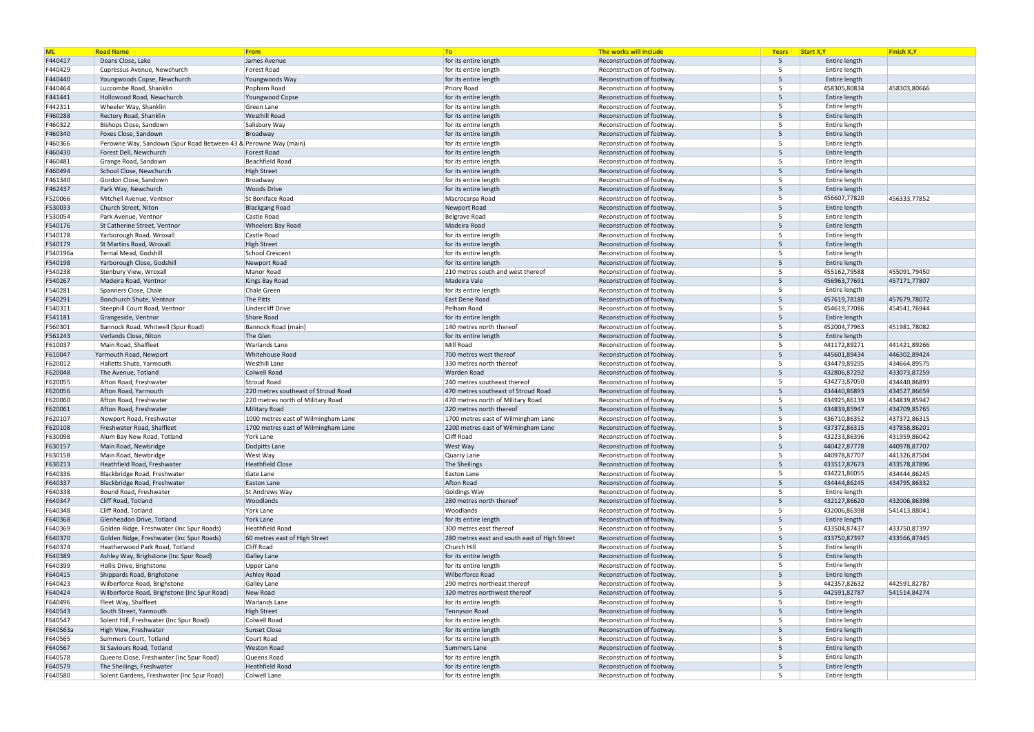| <b>ML</b> | <b>Road Name</b>                                                | From                                | To                                            | The works will include     | Years          | Start X, Y    | <b>Finish X,Y</b> |
|-----------|-----------------------------------------------------------------|-------------------------------------|-----------------------------------------------|----------------------------|----------------|---------------|-------------------|
| F440417   | Deans Close, Lake                                               | James Avenue                        | for its entire length                         | Reconstruction of footway  | 5              | Entire length |                   |
| F440429   | Cupressus Avenue, Newchurch                                     | Forest Road                         | for its entire length                         | Reconstruction of footway  | -5             | Entire length |                   |
| F440440   | Youngwoods Copse, Newchurch                                     | Youngwoods Way                      | for its entire length                         | Reconstruction of footway  | $5^{\circ}$    | Entire length |                   |
| F440464   | Luccombe Road, Shanklin                                         | Popham Road                         | Priory Road                                   | Reconstruction of footway  | 5              | 458305,80834  | 458303,80666      |
| F441441   | Hollowood Road, Newchurch                                       | Youngwood Copse                     | for its entire length                         | Reconstruction of footway  | $5^{\circ}$    | Entire length |                   |
| F442311   | Wheeler Way, Shanklin                                           | Green Lane                          | for its entire length                         | Reconstruction of footway  | -5             | Entire length |                   |
| F460288   | Rectory Road, Shanklin                                          | <b>Westhill Road</b>                | for its entire length                         | Reconstruction of footway  | $5^{\circ}$    | Entire length |                   |
| F460322   | Bishops Close, Sandown                                          | Salisbury Way                       | for its entire length                         | Reconstruction of footway  | $5^{\circ}$    | Entire length |                   |
| F460340   | Foxes Close, Sandown                                            | Broadway                            | for its entire length                         | Reconstruction of footway  | $5^{\circ}$    | Entire length |                   |
| F460366   | Perowne Way, Sandown (Spur Road Between 43 & Perowne Way (main) |                                     | for its entire length                         | Reconstruction of footway  | -5             | Entire length |                   |
| F460430   | Forest Dell, Newchurch                                          | <b>Forest Road</b>                  | for its entire length                         | Reconstruction of footway  | $5^{\circ}$    | Entire length |                   |
| F460481   | Grange Road, Sandown                                            | Beachfield Road                     | for its entire length                         | Reconstruction of footway. | 5              | Entire length |                   |
| F460494   | School Close, Newchurch                                         | <b>High Street</b>                  | for its entire length                         | Reconstruction of footway  | $5^{\circ}$    | Entire length |                   |
| F461340   | Gordon Close, Sandown                                           | Broadway                            | for its entire length                         | Reconstruction of footway  | -5             | Entire length |                   |
| F462437   | Park Way, Newchurch                                             | <b>Woods Drive</b>                  | for its entire length                         | Reconstruction of footway  | $5^{\circ}$    | Entire length |                   |
| F520066   | Mitchell Avenue, Ventnor                                        | St Boniface Road                    | Macrocarpa Road                               | Reconstruction of footway  | $5^{\circ}$    | 456607,77820  | 456333,77852      |
| F530033   | Church Street, Niton                                            | <b>Blackgang Road</b>               | Newport Road                                  | Reconstruction of footway  | $5^{\circ}$    | Entire length |                   |
| F530054   | Park Avenue, Ventnor                                            | Castle Road                         | Belgrave Road                                 | Reconstruction of footway  | -5             | Entire length |                   |
| F540176   | St Catherine Street, Ventnor                                    | <b>Wheelers Bay Road</b>            | Madeira Road                                  | Reconstruction of footway  | $5^{\circ}$    | Entire length |                   |
| F540178   | Yarborough Road, Wroxall                                        | Castle Road                         | for its entire length                         | Reconstruction of footway  | -5             | Entire length |                   |
| F540179   | St Martins Road, Wroxall                                        | <b>High Street</b>                  | for its entire length                         | Reconstruction of footway  | $5^{\circ}$    | Entire length |                   |
|           | Ternal Mead, Godshill                                           | <b>School Crescent</b>              |                                               |                            | -5             |               |                   |
| F540196a  |                                                                 |                                     | for its entire length                         | Reconstruction of footway  | 5              | Entire length |                   |
| F540198   | Yarborough Close, Godshill                                      | Newport Road                        | for its entire length                         | Reconstruction of footway  | -5             | Entire length |                   |
| F540238   | Stenbury View, Wroxall                                          | Manor Road                          | 210 metres south and west thereof             | Reconstruction of footway  |                | 455162,79588  | 455091,79450      |
| F540267   | Madeira Road, Ventnor                                           | Kings Bay Road                      | Madeira Vale                                  | Reconstruction of footway  | $5^{\circ}$    | 456963,77691  | 457171,77807      |
| F540281   | Spanners Close, Chale                                           | Chale Green                         | for its entire length                         | Reconstruction of footway  | -5             | Entire length |                   |
| F540291   | Bonchurch Shute, Ventnor                                        | The Pitts                           | East Dene Road                                | Reconstruction of footway  | 5              | 457619,78180  | 457679,78072      |
| F540311   | Steephill Court Road, Ventnor                                   | Undercliff Drive                    | Pelham Road                                   | Reconstruction of footway  | $5^{\circ}$    | 454619,77086  | 454541,76944      |
| F541181   | Grangeside, Ventnor                                             | Shore Road                          | for its entire length                         | Reconstruction of footway  | $5^{\circ}$    | Entire length |                   |
| F560301   | Bannock Road, Whitwell (Spur Road)                              | Bannock Road (main)                 | 140 metres north thereof                      | Reconstruction of footway  | -5             | 452004,77963  | 451981,78082      |
| F561243   | Verlands Close, Niton                                           | The Glen                            | for its entire length                         | Reconstruction of footway  | 5              | Entire length |                   |
| F610037   | Main Road, Shalfleet                                            | <b>Warlands Lane</b>                | Mill Road                                     | Reconstruction of footway  | -5             | 441172,89271  | 441421,89266      |
| F610047   | Yarmouth Road, Newport                                          | <b>Whitehouse Road</b>              | 700 metres west thereof                       | Reconstruction of footway  | $5^{\circ}$    | 445601,89434  | 446302,89424      |
| F620012   | Halletts Shute, Yarmouth                                        | Westhill Lane                       | 330 metres north thereof                      | Reconstruction of footway  | -5             | 434479,89295  | 434664,89575      |
| F620048   | The Avenue, Totland                                             | Colwell Road                        | <b>Warden Road</b>                            | Reconstruction of footway  | 5              | 432806,87292  | 433073,87259      |
| F620055   | Afton Road, Freshwater                                          | Stroud Road                         | 240 metres southeast thereof                  | Reconstruction of footway  | $5^{\circ}$    | 434273,87050  | 434440,86893      |
| F620056   | Afton Road, Yarmouth                                            | 220 metres southeast of Stroud Road | 470 metres southeast of Stroud Road           | Reconstruction of footway  | $5^{\circ}$    | 434440,86893  | 434527,86659      |
| F620060   | Afton Road, Freshwater                                          | 220 metres north of Military Road   | 470 metres north of Military Road             | Reconstruction of footway  | -5             | 434925,86139  | 434839,85947      |
| F620061   | Afton Road, Freshwater                                          | Military Road                       | 220 metres north thereof                      | Reconstruction of footway  | $5^{\circ}$    | 434839,85947  | 434709,85765      |
| F620107   | Newport Road, Freshwater                                        | 1000 metres east of Wilmingham Lane | 1700 metres east of Wilmingham Lane           | Reconstruction of footway  | -5             | 436710,86352  | 437372,86315      |
| F620108   | Freshwater Road, Shalfleet                                      | 1700 metres east of Wilmingham Lane | 2200 metres east of Wilmingham Lane           | Reconstruction of footway  | $5^{\circ}$    | 437372,86315  | 437858,86201      |
| F630098   | Alum Bay New Road, Totland                                      | York Lane                           | Cliff Road                                    | Reconstruction of footway. | - 5            | 432233,86396  | 431959,86042      |
| F630157   | Main Road, Newbridge                                            | Dodpitts Lane                       | <b>West Way</b>                               | Reconstruction of footway. | 5              | 440427,87778  | 440978,87707      |
| F630158   | Main Road, Newbridge                                            | West Way                            | Quarry Lane                                   | Reconstruction of footway  | -5             | 440978,87707  | 441326,87504      |
| F630213   | Heathfield Road, Freshwater                                     | Heathfield Close                    | The Sheilings                                 | Reconstruction of footway. | 5              | 433517,87673  | 433578,87896      |
| F640336   | Blackbridge Road, Freshwater                                    | Gate Lane                           | Easton Lane                                   | Reconstruction of footway. | 5              | 434221,86055  | 434444,86245      |
| F640337   | Blackbridge Road, Freshwater                                    | Easton Lane                         | Afton Road                                    | Reconstruction of footway. | 5              | 434444,86245  | 434795,86332      |
| F640338   | Bound Road, Freshwater                                          | St Andrews Way                      | Goldings Way                                  | Reconstruction of footway. | 5              | Entire length |                   |
| F640347   | Cliff Road, Totland                                             | Woodlands                           | 280 metres north thereof                      | Reconstruction of footway. | 5              | 432127,86620  | 432006,86398      |
| F640348   | Cliff Road, Totland                                             | York Lane                           | Woodlands                                     | Reconstruction of footway. | 5              | 432006,86398  | 541413,88041      |
| F640368   | Glenheadon Drive, Totland                                       | York Lane                           | for its entire length                         | Reconstruction of footway. | 5              | Entire length |                   |
| F640369   | Golden Ridge, Freshwater (Inc Spur Roads)                       | Heathfield Road                     | 300 metres east thereof                       | Reconstruction of footway. | 5              | 433504,87437  | 433750,87397      |
| F640370   | Golden Ridge, Freshwater (Inc Spur Roads)                       | 60 metres east of High Street       | 280 metres east and south east of High Street | Reconstruction of footway. | $5^{\circ}$    | 433750,87397  | 433566,87445      |
| F640374   | Heatherwood Park Road, Totland                                  | Cliff Road                          | Church Hill                                   | Reconstruction of footway. | 5              | Entire length |                   |
| F640389   | Ashley Way, Brighstone (Inc Spur Road)                          | Galley Lane                         | for its entire length                         | Reconstruction of footway. | 5              | Entire length |                   |
| F640399   | Hollis Drive, Brighstone                                        | Upper Lane                          | for its entire length                         | Reconstruction of footway  | 5              | Entire length |                   |
| F640415   | Shippards Road, Brighstone                                      | Ashley Road                         | Wilberforce Road                              | Reconstruction of footway. | 5 <sup>5</sup> | Entire length |                   |
| F640423   | Wilberforce Road, Brighstone                                    | Galley Lane                         | 290 metres northeast thereof                  | Reconstruction of footway. | 5              | 442357,82632  | 442591,82787      |
| F640424   | Wilberforce Road, Brighstone (Inc Spur Road)                    | New Road                            | 320 metres northwest thereof                  | Reconstruction of footway. | 5              | 442591,82787  | 541514,84274      |
| F640496   | Fleet Way, Shalfleet                                            | <b>Warlands Lane</b>                | for its entire length                         | Reconstruction of footway. | 5              | Entire length |                   |
| F640543   | South Street, Yarmouth                                          | <b>High Street</b>                  | Tennyson Road                                 | Reconstruction of footway. | 5              | Entire length |                   |
| F640547   | Solent Hill, Freshwater (Inc Spur Road)                         | Colwell Road                        | for its entire length                         | Reconstruction of footway. | 5              | Entire length |                   |
| F640563a  | High View, Freshwater                                           | <b>Sunset Close</b>                 | for its entire length                         | Reconstruction of footway. | 5              | Entire length |                   |
| F640565   | Summers Court, Totland                                          | Court Road                          | for its entire length                         | Reconstruction of footway. | 5              | Entire length |                   |
| F640567   | St Saviours Road, Totland                                       | <b>Weston Road</b>                  | Summers Lane                                  | Reconstruction of footway. | 5              | Entire length |                   |
| F640578   | Queens Close, Freshwater (Inc Spur Road)                        | Queens Road                         | for its entire length                         | Reconstruction of footway. | 5              | Entire length |                   |
| F640579   | The Sheilings, Freshwater                                       | Heathfield Road                     | for its entire length                         | Reconstruction of footway. | 5              | Entire length |                   |
| F640580   | Solent Gardens, Freshwater (Inc Spur Road)                      | Colwell Lane                        | for its entire length                         | Reconstruction of footway. | 5              | Entire length |                   |
|           |                                                                 |                                     |                                               |                            |                |               |                   |